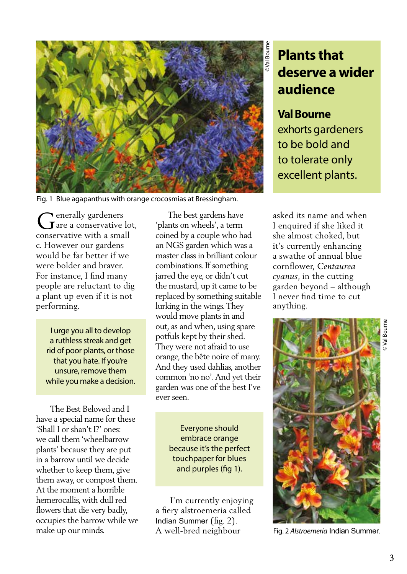

Fig. 1 Blue agapanthus with orange crocosmias at Bressingham.

renerally gardeners  $\int$  are a conservative lot, conservative with a small c. However our gardens would be far better if we were bolder and braver. For instance, I find many people are reluctant to dig a plant up even if it is not performing.

I urge you all to develop a ruthless streak and get rid of poor plants, or those that you hate. If you're unsure, remove them while you make a decision.

 The Best Beloved and I have a special name for these 'Shall I or shan't I?' ones: we call them 'wheelbarrow plants' because they are put in a barrow until we decide whether to keep them, give them away, or compost them. At the moment a horrible hemerocallis, with dull red flowers that die very badly, occupies the barrow while we make up our minds.

 The best gardens have 'plants on wheels', a term coined by a couple who had an NGS garden which was a master class in brilliant colour combinations. If something jarred the eye, or didn't cut the mustard, up it came to be replaced by something suitable lurking in the wings. They would move plants in and out, as and when, using spare potfuls kept by their shed. They were not afraid to use orange, the bête noire of many. And they used dahlias, another common 'no no'. And yet their garden was one of the best I've ever seen.

> Everyone should embrace orange because it's the perfect touchpaper for blues and purples (fig 1).

 I'm currently enjoying a fiery alstroemeria called Indian Summer (fig. 2).

## **Plants that deserve a wider audience**

## **Val Bourne**

exhorts gardeners to be bold and to tolerate only excellent plants.

asked its name and when I enquired if she liked it she almost choked, but it's currently enhancing a swathe of annual blue cornflower, *Centaurea cyanus*, in the cutting garden beyond – although I never find time to cut anything.



A well-bred neighbour Fig. 2 *Alstroemeria* Indian Summer.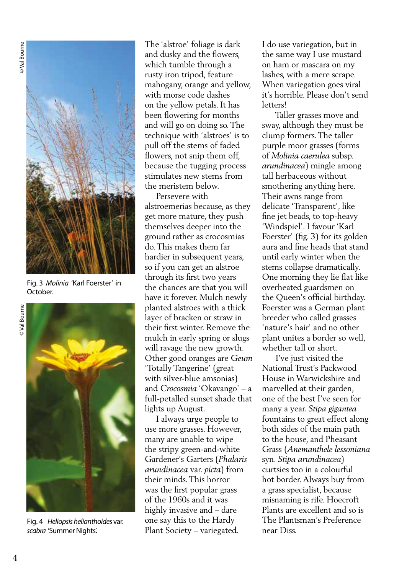**O** Val Bourne



Fig. 3 *Molinia* 'Karl Foerster' in October.

Fig. 4 *Heliopsis helianthoides* var. *scabra* 'Summer Nights'.

The 'alstroe' foliage is dark and dusky and the flowers, which tumble through a rusty iron tripod, feature mahogany, orange and yellow, with morse code dashes on the yellow petals. It has been flowering for months and will go on doing so. The technique with 'alstroes' is to pull off the stems of faded flowers, not snip them off, because the tugging process stimulates new stems from the meristem below.

 Persevere with alstroemerias because, as they get more mature, they push themselves deeper into the ground rather as crocosmias do. This makes them far hardier in subsequent years, so if you can get an alstroe through its first two years the chances are that you will have it forever. Mulch newly planted alstroes with a thick layer of bracken or straw in their first winter. Remove the mulch in early spring or slugs will ravage the new growth. Other good oranges are *Geum* 'Totally Tangerine' (great with silver-blue amsonias) and *Crocosmia* 'Okavango' – a full-petalled sunset shade that lights up August.

 I always urge people to use more grasses. However, many are unable to wipe the stripy green-and-white Gardener's Garters (*Phalaris arundinacea* var. *picta*) from their minds. This horror was the first popular grass of the 1960s and it was highly invasive and – dare one say this to the Hardy Plant Society – variegated.

I do use variegation, but in the same way I use mustard on ham or mascara on my lashes, with a mere scrape. When variegation goes viral it's horrible. Please don't send letters!

 Taller grasses move and sway, although they must be clump formers. The taller purple moor grasses (forms of *Molinia caerulea* subsp. *arundinacea*) mingle among tall herbaceous without smothering anything here. Their awns range from delicate 'Transparent', like fine jet beads, to top-heavy 'Windspiel'. I favour 'Karl Foerster' (fig. 3) for its golden aura and fine heads that stand until early winter when the stems collapse dramatically. One morning they lie flat like overheated guardsmen on the Queen's official birthday. Foerster was a German plant breeder who called grasses 'nature's hair' and no other plant unites a border so well, whether tall or short.

 I've just visited the National Trust's Packwood House in Warwickshire and marvelled at their garden, one of the best I've seen for many a year. *Stipa gigantea* fountains to great effect along both sides of the main path to the house, and Pheasant Grass (*Anemanthele lessoniana*  syn. *Stipa arundinacea*) curtsies too in a colourful hot border. Always buy from a grass specialist, because misnaming is rife. Hoecroft Plants are excellent and so is The Plantsman's Preference near Diss.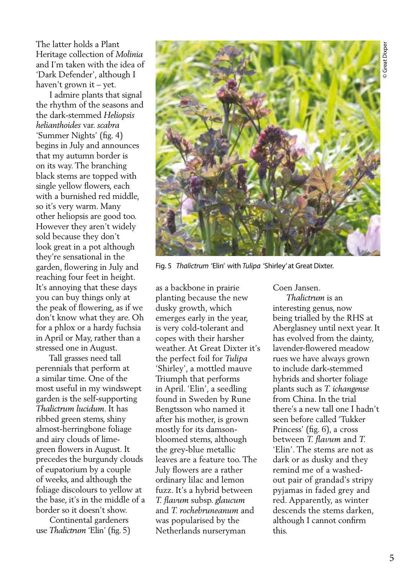The latter holds a Plant Heritage collection of *Molinia* and I'm taken with the idea of 'Dark Defender', although I haven't grown it – yet.

 I admire plants that signal the rhythm of the seasons and the dark-stemmed *Heliopsis helianthoides* var. *scabra* 'Summer Nights' (fig. 4) begins in July and announces that my autumn border is on its way. The branching black stems are topped with single yellow flowers, each with a burnished red middle, so it's very warm. Many other heliopsis are good too. However they aren't widely sold because they don't look great in a pot although they're sensational in the garden, flowering in July and reaching four feet in height. It's annoying that these days you can buy things only at the peak of flowering, as if we don't know what they are. Oh for a phlox or a hardy fuchsia in April or May, rather than a stressed one in August.

 Tall grasses need tall perennials that perform at a similar time. One of the most useful in my windswept garden is the self-supporting *Thalictrum lucidum*. It has ribbed green stems, shiny almost-herringbone foliage and airy clouds of limegreen flowers in August. It precedes the burgundy clouds of eupatorium by a couple of weeks, and although the foliage discolours to yellow at the base, it's in the middle of a border so it doesn't show.

 Continental gardeners use *Thalictrum* 'Elin' (fig. 5)



Fig. 5 *Thalictrum* 'Elin' with *Tulipa* 'Shirley' at Great Dixter.

as a backbone in prairie planting because the new dusky growth, which emerges early in the year, is very cold-tolerant and copes with their harsher weather. At Great Dixter it's the perfect foil for *Tulipa* 'Shirley', a mottled mauve Triumph that performs in April. 'Elin', a seedling found in Sweden by Rune Bengtsson who named it after his mother, is grown mostly for its damsonbloomed stems, although the grey-blue metallic leaves are a feature too. The July flowers are a rather ordinary lilac and lemon fuzz. It's a hybrid between *T. flavum* subsp. *glaucum*  and *T. rochebruneanum* and was popularised by the Netherlands nurseryman

Coen Jansen.

 *Thalictrum* is an interesting genus, now being trialled by the RHS at Aberglasney until next year. It has evolved from the dainty, lavender-flowered meadow rues we have always grown to include dark-stemmed hybrids and shorter foliage plants such as *T. ichangense* from China. In the trial there's a new tall one I hadn't seen before called 'Tukker Princess' (fig. 6), a cross between *T. flavum* and *T.* 'Elin'. The stems are not as dark or as dusky and they remind me of a washedout pair of grandad's stripy pyjamas in faded grey and red. Apparently, as winter descends the stems darken, although I cannot confirm this.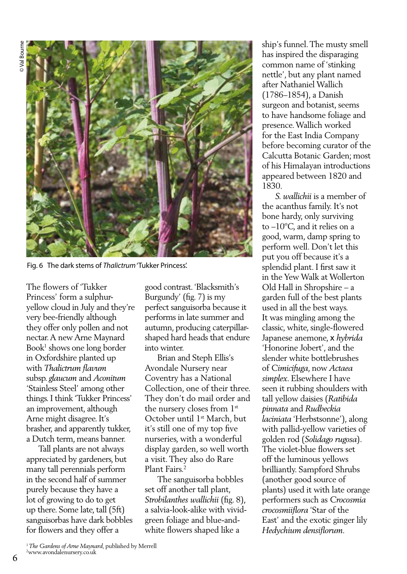

Fig. 6 The dark stems of *Thalictrum* 'Tukker Princess'.

The flowers of 'Tukker Princess' form a sulphuryellow cloud in July and they're very bee-friendly although they offer only pollen and not nectar. A new Arne Maynard Book1 shows one long border in Oxfordshire planted up with *Thalictrum flavum* subsp. *glaucum* and *Aconitum* 'Stainless Steel' among other things. I think 'Tukker Princess' an improvement, although Arne might disagree. It's brasher, and apparently tukker, a Dutch term, means banner.

 Tall plants are not always appreciated by gardeners, but many tall perennials perform in the second half of summer purely because they have a lot of growing to do to get up there. Some late, tall (5ft) sanguisorbas have dark bobbles for flowers and they offer a

good contrast. 'Blacksmith's Burgundy' (fig. 7) is my perfect sanguisorba because it performs in late summer and autumn, producing caterpillarshaped hard heads that endure into winter.

 Brian and Steph Ellis's Avondale Nursery near Coventry has a National Collection, one of their three. They don't do mail order and the nursery closes from 1st October until 1<sup>st</sup> March, but it's still one of my top five nurseries, with a wonderful display garden, so well worth a visit. They also do Rare Plant Fairs.2

 The sanguisorba bobbles set off another tall plant, *Strobilanthes wallichii* (fig. 8), a salvia-look-alike with vividgreen foliage and blue-andwhite flowers shaped like a

ship's funnel. The musty smell has inspired the disparaging common name of 'stinking nettle', but any plant named after Nathaniel Wallich (1786–1854), a Danish surgeon and botanist, seems to have handsome foliage and presence. Wallich worked for the East India Company before becoming curator of the Calcutta Botanic Garden; most of his Himalayan introductions appeared between 1820 and 1830.

 *S. wallichii* is a member of the acanthus family. It's not bone hardy, only surviving to –10ºC, and it relies on a good, warm, damp spring to perform well. Don't let this put you off because it's a splendid plant. I first saw it in the Yew Walk at Wollerton Old Hall in Shropshire – a garden full of the best plants used in all the best ways. It was mingling among the classic, white, single-flowered Japanese anemone, x *hybrida* 'Honorine Jobert', and the slender white bottlebrushes of *Cimicifuga*, now *Actaea simplex*. Elsewhere I have seen it rubbing shoulders with tall yellow daisies (*Ratibida pinnata* and *Rudbeckia laciniata* 'Herbstsonne'), along with pallid-yellow varieties of golden rod (*Solidago rugosa*). The violet-blue flowers set off the luminous yellows brilliantly. Sampford Shrubs (another good source of plants) used it with late orange performers such as *Crocosmia crocosmiiflora* 'Star of the East' and the exotic ginger lily *Hedychium densiflorum.*

<sup>1</sup> The Gardens of Arne Maynard, published by Merrell www.avondalenursery.co.uk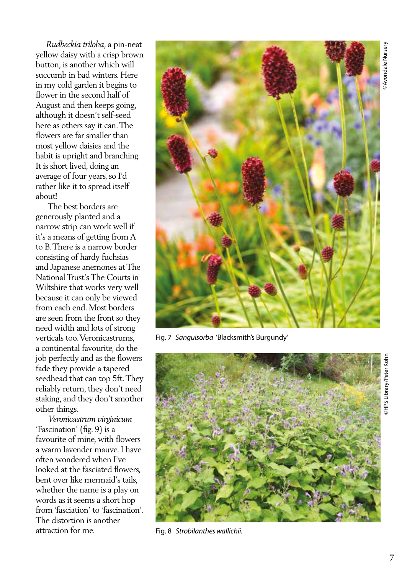*Rudbeckia triloba*, a pin-neat yellow daisy with a crisp brown button, is another which will succumb in bad winters. Here in my cold garden it begins to flower in the second half of August and then keeps going, although it doesn't self-seed here as others say it can. The flowers are far smaller than most yellow daisies and the habit is upright and branching. It is short lived, doing an average of four years, so I'd rather like it to spread itself about!

 The best borders are generously planted and a narrow strip can work well if it's a means of getting from A to B. There is a narrow border consisting of hardy fuchsias and Japanese anemones at The National Trust's The Courts in Wiltshire that works very well because it can only be viewed from each end. Most borders are seen from the front so they need width and lots of strong verticals too. Veronicastrums, a continental favourite, do the job perfectly and as the flowers fade they provide a tapered seedhead that can top 5ft. They reliably return, they don't need staking, and they don't smother other things.

 *Veronicastrum virginicum* 'Fascination' (fig. 9) is a favourite of mine, with flowers a warm lavender mauve. I have often wondered when I've looked at the fasciated flowers, bent over like mermaid's tails, whether the name is a play on words as it seems a short hop from 'fasciation' to 'fascination'. The distortion is another attraction for me.



Fig. 7 *Sanguisorba* 'Blacksmith's Burgundy'



Fig. 8 *Strobilanthes wallichii.*